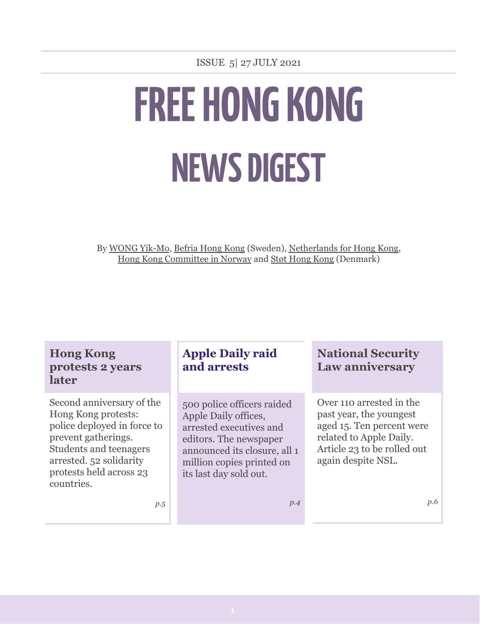# **FREE HONG KONG NEWS DIGEST**

By WONG [Yik-Mo](http://www.facebook.com/wongyikmohk), [Befria](http://www.facebook.com/LiberateBefriaHK) Hong Kong (Sweden), [Netherlands](http://www.facebook.com/nl4hk) for Hong Kong, Hong Kong [Committee](http://www.facebook.com/standwithhk.norway) in Norway and Støt [Hong](https://www.facebook.com/DenmarkSupportingHongKong/) Kong (Denmark)

| <b>Hong Kong</b><br>protests 2 years<br>later                                                                                                                                                        | <b>Apple Daily raid</b><br>and arrests                                                                                                                                                         | <b>National Security</b><br>Law anniversary                                                                                                                      |
|------------------------------------------------------------------------------------------------------------------------------------------------------------------------------------------------------|------------------------------------------------------------------------------------------------------------------------------------------------------------------------------------------------|------------------------------------------------------------------------------------------------------------------------------------------------------------------|
| Second anniversary of the<br>Hong Kong protests:<br>police deployed in force to<br>prevent gatherings.<br>Students and teenagers<br>arrested. 52 solidarity<br>protests held across 23<br>countries. | 500 police officers raided<br>Apple Daily offices,<br>arrested executives and<br>editors. The newspaper<br>announced its closure, all 1<br>million copies printed on<br>its last day sold out. | Over 110 arrested in the<br>past year, the youngest<br>aged 15. Ten percent were<br>related to Apple Daily.<br>Article 23 to be rolled out<br>again despite NSL. |
| p.5                                                                                                                                                                                                  | p.4                                                                                                                                                                                            | p.6                                                                                                                                                              |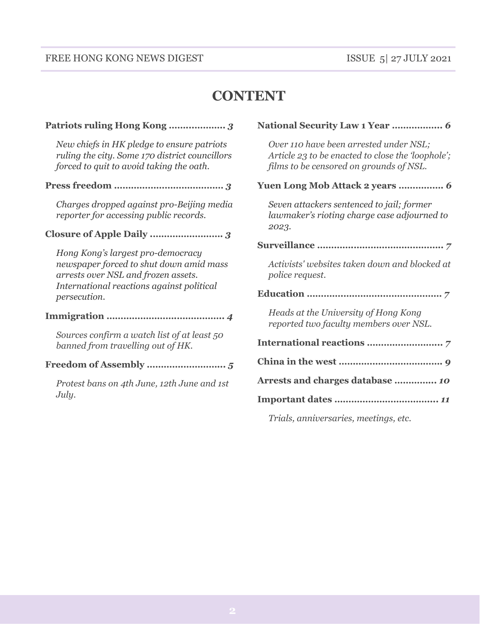#### FREE HONG KONG NEWS DIGEST ISSUE 5| 27 JULY 2021

## **CONTENT**

#### **Patriots ruling Hong Kong ……...………..** *3*

*New chiefs in HK pledge to ensure patriots ruling the city. Some 170 district councillors forced to quit to avoid taking the oath.*

**Press freedom …………………………………** *3*

*Charges dropped against pro-Beijing media reporter for accessing public records.*

#### **Closure of Apple Daily .…………………….** *3*

*Hong Kong's largest pro-democracy newspaper forced to shut down amid mass arrests over NSL and frozen assets. International reactions against political persecution.*

#### **Immigration …………………….……………..** *4*

*Sources confirm a watch list of at least 50 banned from travelling out of HK.*

#### **Freedom of Assembly ………….…………...** *5*

*Protest bans on 4th June, 12th June and 1st July.*

#### **National Security Law 1 Year ……………...** *6*

*Over 110 have been arrested under NSL; Article 23 to be enacted to close the 'loophole'; films to be censored on grounds of NSL.*

#### **Yuen Long Mob Attack 2 years …………….** *6*

*Seven attackers sentenced to jail; former lawmaker's rioting charge case adjourned to 2023.*

**Surveillance ………….…………………………..** *7*

*Activists' websites taken down and blocked at police request.*

#### **Education ………….…………..…………………** *7*

*Heads at the University of Hong Kong reported two faculty members over NSL.*

| Arrests and charges database  10 |
|----------------------------------|
|                                  |
|                                  |

*Trials, anniversaries, meetings, etc.*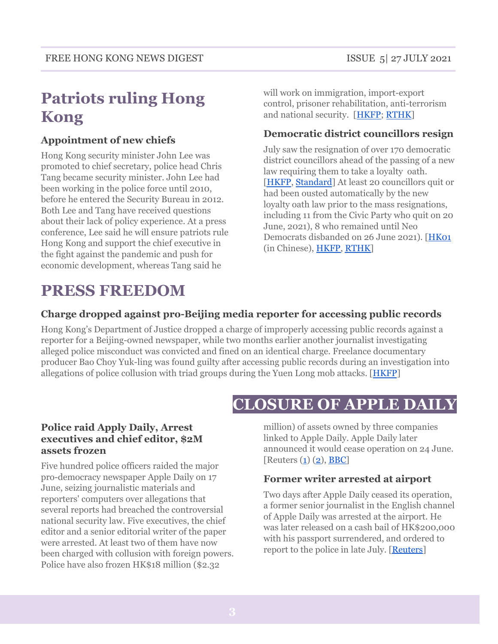# **Patriots ruling Hong Kong**

#### **Appointment of new chiefs**

Hong Kong security minister John Lee was promoted to chief secretary, police head Chris Tang became security minister. John Lee had been working in the police force until 2010, before he entered the Security Bureau in 2012. Both Lee and Tang have received questions about their lack of policy experience. At a press conference, Lee said he will ensure patriots rule Hong Kong and support the chief executive in the fight against the pandemic and push for economic development, whereas Tang said he

# **PRESS FREEDOM**

will work on immigration, import-export control, prisoner rehabilitation, anti-terrorism and national security. [[HKFP;](http://hongkongfp.com/2021/06/25/breaking-security-chief-john-lee-to-become-hong-kongs-no-2-police-chief-to-head-up-security-report/) [RTHK\]](http://news.rthk.hk/rthk/en/component/k2/1597797-20210626.htm)

#### **Democratic district councillors resign**

July saw the resignation of over 170 democratic district councillors ahead of the passing of a new law requiring them to take a loyalty oath. [\[HKFP](https://hongkongfp.com/2021/06/17/some-170-pro-democracy-district-councillors-face-disqualification-under-new-hong-kong-law-reports/), [Standard](https://www.thestandard.com.hk/breaking-news/section/4/176516/Democratic-Party-chairman-Lo-Kin-hei-resigns-as-district-councilor)] At least 20 councillors quit or had been ousted automatically by the new loyalty oath law prior to the mass resignations, including 11 from the Civic Party who quit on 20 June, 2021), 8 who remained until Neo Democrats disbanded on 26 June 2021). [[HK01](https://www.hk01.com/%E6%94%BF%E6%83%85/633907/%E6%94%BF%E5%BA%9C%E5%88%8A%E6%86%B28%E5%90%8D%E5%8D%80%E8%AD%B0%E5%93%A1%E8%AD%B0%E5%B8%AD%E6%87%B8%E7%A9%BA-%E8%A8%B1%E6%99%BA%E5%B3%AF%E9%80%A3%E7%BA%8C4%E5%80%8B%E6%9C%88%E7%BC%BA%E5%B8%AD%E6%9C%83%E8%AD%B0%E5%A4%B1%E8%AD%B0%E5%B8%AD) (in Chinese), [HKFP,](https://hongkongfp.com/2021/06/21/11-more-district-councillors-quit-hong-kongs-pro-democracy-civic-party/) [RTHK\]](https://news.rthk.hk/rthk/en/component/k2/1597838-20210626.htm)

#### **Charge dropped against pro-Beijing media reporter for accessing public records**

Hong Kong's Department of Justice dropped a charge of improperly accessing public records against a reporter for a Beijing-owned newspaper, while two months earlier another journalist investigating alleged police misconduct was convicted and fined on an identical charge. Freelance documentary producer Bao Choy Yuk-ling was found guilty after accessing public records during an investigation into allegations of police collusion with triad groups during the Yuen Long mob attacks. [[HKFP](https://hongkongfp.com/2021/06/17/charge-dropped-against-hong-kong-state-media-reporter-over-improper-access-to-public-records-despite-rthk-case/)]

# **CLOSURE OF APPLE DAILY**

#### **Police raid Apply Daily, Arrest executives and chief editor, \$2M assets frozen**

Five hundred police officers raided the major pro-democracy newspaper Apple Daily on 17 June, seizing journalistic materials and reporters' computers over allegations that several reports had breached the controversial national security law. Five executives, the chief editor and a senior editorial writer of the paper were arrested. At least two of them have now been charged with collusion with foreign powers. Police have also frozen HK\$18 million (\$2.32

million) of assets owned by three companies linked to Apple Daily. Apple Daily later announced it would cease operation on 24 June. [Reuters  $(1)$  $(1)$  $(1)$   $(2)$ , [BBC\]](http://www.bbc.co.uk/news/world-asia-china-57578926)

#### **Former writer arrested at airport**

Two days after Apple Daily ceased its operation, a former senior journalist in the English channel of Apple Daily was arrested at the airport. He was later released on a cash bail of HK\$200,000 with his passport surrendered, and ordered to report to the police in late July. [\[Reuters](http://www.reuters.com/world/china/former-journalist-hong-kongs-apple-daily-released-bail-2021-06-29/)]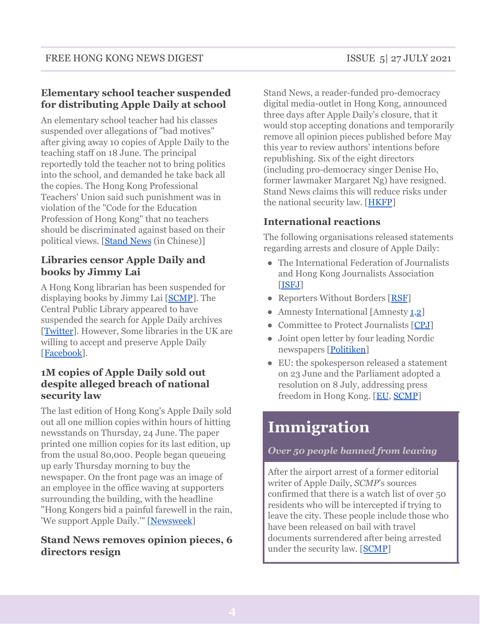#### **Elementary school teacher suspended for distributing Apple Daily at school**

An elementary school teacher had his classes suspended over allegations of "bad motives" after giving away 10 copies of Apple Daily to the teaching staff on 18 June. The principal reportedly told the teacher not to bring politics into the school, and demanded he take back all the copies. The Hong Kong Professional Teachers' Union said such punishment was in violation of the "Code for the Education Profession of Hong Kong" that no teachers should be discriminated against based on their political views. [[Stand](http://beta.thestandnews.com/society/%E5%A4%A9%E6%B0%B4%E5%9C%8D%E5%B0%8F%E5%AD%B8%E6%95%99%E5%B8%AB%E7%82%BA%E5%90%8C%E4%BA%8B%E8%B2%B7%E8%98%8B%E6%9E%9C%E6%97%A5%E5%A0%B1%E8%A2%AB%E8%88%89%E5%A0%B1-%E6%A0%A1%E6%96%B9%E7%A8%B1%E4%BB%96-%E5%8B%95%E6%A9%9F%E4%B8%8D%E8%89%AF-%E6%9A%AB%E5%81%9C%E5%85%B6%E5%85%A8%E6%97%A5%E8%AA%B2%E5%A0%82) News (in Chinese)]

#### **Libraries censor Apple Daily and books by Jimmy Lai**

A Hong Kong librarian has been suspended for displaying books by Jimmy Lai [\[SCMP](http://www.scmp.com/news/hong-kong/politics/article/3139486/hong-kong-librarian-suspended-after-books-jailed-apple)]. The Central Public Library appeared to have suspended the search for Apple Daily archives [[Twitter](http://twitter.com/andreas_lo/status/1409791112756166659?s=20)]. However, Some libraries in the UK are willing to accept and preserve Apple Daily [[Facebook\]](http://www.facebook.com/HongkongersUK/posts/318784109906878/).

#### **1M copies of Apple Daily sold out despite alleged breach of national security law**

The last edition of Hong Kong's Apple Daily sold out all one million copies within hours of hitting newsstands on Thursday, 24 June. The paper printed one million copies for its last edition, up from the usual 80,000. People began queueing up early Thursday morning to buy the newspaper. On the front page was an image of an employee in the office waving at supporters surrounding the building, with the headline "Hong Kongers bid a painful farewell in the rain, 'We support Apple Daily.'" [\[Newsweek](http://www.newsweek.com/hong-kongs-apple-daily-sells-out-all-1m-copies-its-final-edition-matter-hours-1603742)]

#### **Stand News removes opinion pieces, 6 directors resign**

Stand News, a reader-funded pro-democracy digital media-outlet in Hong Kong, announced three days after Apple Daily's closure, that it would stop accepting donations and temporarily remove all opinion pieces published before May this year to review authors' intentions before republishing. Six of the eight directors (including pro-democracy singer Denise Ho, former lawmaker Margaret Ng) have resigned. Stand News claims this will reduce risks under the national security law. [[HKFP](http://hongkongfp.com/2021/06/28/security-law-stand-news-opinion-articles-axed-directors-resign-amid-reported-threats-to-hong-kong-digital-outlets/)]

#### **International reactions**

The following organisations released statements regarding arrests and closure of Apple Daily:

- The International Federation of Journalists and Hong Kong Journalists Association [\[ISFJ\]](https://www.ifj.org/media-centre/news/detail/category/press-releases/article/hong-kong-democracy-crumbles-in-hong-kong-as-apple-daily-shutters-hk-operations.html)
- Reporters Without Borders [[RSF](https://rsf.org/en/news/hong-kong-rsf-deplores-suffocation-death-apple-daily-one-last-major-chinese-language-media-critical)]
- Amnesty International [Amnesty [1](https://www.amnesty.org/en/latest/news/2021/06/hong-kong-apple-daily-raid-arrests-a-brazen-attack-on-press-freedom/)[,2](https://www.amnesty.org/en/latest/news/2021/06/hong-kong-apple-daily-closure-is-press-freedom-darkest-day/)]
- Committee to Protect Journalists [[CPJ\]](https://cpj.org/2021/06/hong-kongs-apple-daily-newspaper-to-cease-publication/)
- Joint open letter by four leading Nordic newspapers [\[Politiken\]](https://politiken.dk/udland/art8271556/To-the-People%E2%80%99s-Republic-of-China)
- EU: the spokesperson released a statement on 23 June and the Parliament adopted a resolution on 8 July, addressing press freedom in Hong Kong. [[EU](http://eeas.europa.eu/headquarters/headquarters-homepage/100567/hong-kong-statement-spokesperson-closure-apple-daily%E2%80%99s-hong-kong-operations_en), [SCMP](http://www.scmp.com/news/china/diplomacy/article/3140391/european-parliament-adopts-resolution-hong-kong-press-freedom)]

# **Immigration**

#### *Over 50 people banned from leaving*

After the airport arrest of a former editorial writer of Apple Daily, *SCMP*'s sources confirmed that there is a watch list of over 50 residents who will be intercepted if trying to leave the city. These people include those who have been released on bail with travel documents surrendered after being arrested under the security law. [[SCMP\]](http://www.scmp.com/news/hong-kong/law-and-crime/article/3139082/hong-kong-national-security-police-have-watch-list)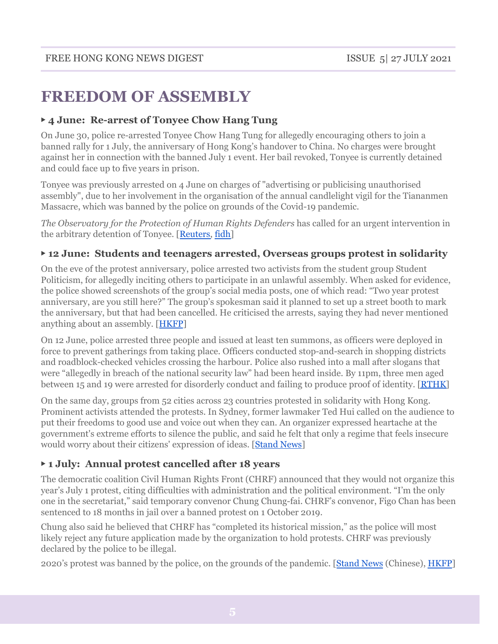# **FREEDOM OF ASSEMBLY**

#### ▶ **4 June: Re-arrest of Tonyee Chow Hang Tung**

On June 30, police re-arrested Tonyee Chow Hang Tung for allegedly encouraging others to join a banned rally for 1 July, the anniversary of Hong Kong's handover to China. No charges were brought against her in connection with the banned July 1 event. Her bail revoked, Tonyee is currently detained and could face up to five years in prison.

Tonyee was previously arrested on 4 June on charges of "advertising or publicising unauthorised assembly", due to her involvement in the organisation of the annual candlelight vigil for the Tiananmen Massacre, which was banned by the police on grounds of the Covid-19 pandemic.

*The Observatory for the Protection of Human Rights Defenders* has called for an urgent intervention in the arbitrary detention of Tonyee. [[Reuters,](http://www.reuters.com/world/asia-pacific/hong-kong-democracy-activist-re-arrested-eve-sensitive-anniversaries-2021-06-30/) [fidh\]](http://www.fidh.org/en/issues/human-rights-defenders/hong-kong-arbitrary-detention-of-tonyee-chow-hang-tung)

#### ▶ **12 June: Students and teenagers arrested, Overseas groups protest in solidarity**

On the eve of the protest anniversary, police arrested two activists from the student group Student Politicism, for allegedly inciting others to participate in an unlawful assembly. When asked for evidence, the police showed screenshots of the group's social media posts, one of which read: "Two year protest anniversary, are you still here?" The group's spokesman said it planned to set up a street booth to mark the anniversary, but that had been cancelled. He criticised the arrests, saying they had never mentioned anything about an assembly. [[HKFP](https://hongkongfp.com/2021/06/11/hong-kong-police-arrest-two-student-activists-ahead-of-protest-anniversary-over-street-booth/)]

On 12 June, police arrested three people and issued at least ten summons, as officers were deployed in force to prevent gatherings from taking place. Officers conducted stop-and-search in shopping districts and roadblock-checked vehicles crossing the harbour. Police also rushed into a mall after slogans that were "allegedly in breach of the national security law" had been heard inside. By 11pm, three men aged between 15 and 19 were arrested for disorderly conduct and failing to produce proof of identity. [\[RTHK\]](https://news.rthk.hk/rthk/en/component/k2/1595601-20210612.htm)

On the same day, groups from 52 cities across 23 countries protested in solidarity with Hong Kong. Prominent activists attended the protests. In Sydney, former lawmaker Ted Hui called on the audience to put their freedoms to good use and voice out when they can. An organizer expressed heartache at the government's extreme efforts to silence the public, and said he felt that only a regime that feels insecure would worry about their citizens' expression of ideas. [[Stand](https://www.facebook.com/standnewshk/posts/4252810848137836) News]

#### ▶ **1 July: Annual protest cancelled after 18 years**

The democratic coalition Civil Human Rights Front (CHRF) announced that they would not organize this year's July 1 protest, citing difficulties with administration and the political environment. "I'm the only one in the secretariat," said temporary convenor Chung Chung-fai. CHRF's convenor, Figo Chan has been sentenced to 18 months in jail over a banned protest on 1 October 2019.

Chung also said he believed that CHRF has "completed its historical mission," as the police will most likely reject any future application made by the organization to hold protests. CHRF was previously declared by the police to be illegal.

2020's protest was banned by the police, on the grounds of the pandemic. [[Stand](https://www.thestandnews.com/society/%E6%B0%91%E9%99%A3%E5%8D%81%E5%85%AB%E5%B9%B4%E4%BE%86%E9%A6%96%E4%B8%8D%E7%94%B3%E8%BE%A6%E4%B8%83%E4%B8%80%E9%81%8A%E8%A1%8C-%E8%87%A8%E6%99%82%E5%8F%AC%E9%9B%86%E4%BA%BA-%E7%8F%BE%E6%99%82%E6%94%BF%E6%B2%BB%E6%B0%A3%E6%B0%9B%E7%84%A1%E5%8F%AF%E8%83%BD%E8%88%89%E8%BE%A6/) News (Chinese), [HKFP](https://hongkongfp.com/2021/06/21/embattled-democracy-coalition-cancels-hong-kongs-annual-july-1-march-will-discuss-disbanding/)]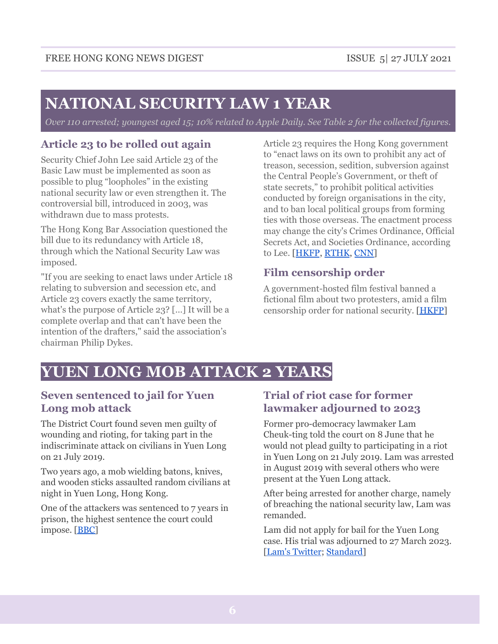# **NATIONAL SECURITY LAW 1 YEAR**

Over 110 arrested; youngest aged 15; 10% related to Apple Daily. See Table 2 for the collected figures.

## **Article 23 to be rolled out again**

Security Chief John Lee said Article 23 of the Basic Law must be implemented as soon as possible to plug "loopholes" in the existing national security law or even strengthen it. The controversial bill, introduced in 2003, was withdrawn due to mass protests.

The Hong Kong Bar Association questioned the bill due to its redundancy with Article 18, through which the National Security Law was imposed.

"If you are seeking to enact laws under Article 18 relating to subversion and secession etc, and Article 23 covers exactly the same territory, what's the purpose of Article 23? […] It will be a complete overlap and that can't have been the intention of the drafters," said the association's chairman Philip Dykes.

Article 23 requires the Hong Kong government to "enact laws on its own to prohibit any act of treason, secession, sedition, subversion against the Central People's Government, or theft of state secrets," to prohibit political activities conducted by foreign organisations in the city, and to ban local political groups from forming ties with those overseas. The enactment process may change the city's Crimes Ordinance, Official Secrets Act, and Societies Ordinance, according to Lee. [[HKFP](http://hongkongfp.com/2021/06/22/hong-kong-must-also-pass-its-own-security-legislation-to-plug-loopholes-says-security-chief/), [RTHK](http://news.rthk.hk/rthk/en/component/k2/1528458-20200526), [CNN\]](http://edition.cnn.com/2003/WORLD/asiapcf/east/09/05/hk.law/)

## **Film censorship order**

A government-hosted film festival banned a fictional film about two protesters, amid a film censorship order for national security. [\[HKFP](http://hongkongfp.com/2021/06/11/new-guidelines-allow-hong-kong-to-censor-films-on-national-security-grounds/)]

# **YUEN LONG MOB ATTACK 2 YEARS**

#### **Seven sentenced to jail for Yuen Long mob attack**

The District Court found seven men guilty of wounding and rioting, for taking part in the indiscriminate attack on civilians in Yuen Long on 21 July 2019.

Two years ago, a mob wielding batons, knives, and wooden sticks assaulted random civilians at night in Yuen Long, Hong Kong.

One of the attackers was sentenced to 7 years in prison, the highest sentence the court could impose. [\[BBC\]](https://www.bbc.com/news/world-asia-china-57925055)

## **Trial of riot case for former lawmaker adjourned to 2023**

Former pro-democracy lawmaker Lam Cheuk-ting told the court on 8 June that he would not plead guilty to participating in a riot in Yuen Long on 21 July 2019. Lam was arrested in August 2019 with several others who were present at the Yuen Long attack.

After being arrested for another charge, namely of breaching the national security law, Lam was remanded.

Lam did not apply for bail for the Yuen Long case. His trial was adjourned to 27 March 2023. [Lam's [Twitter](https://twitter.com/cheuktinglam/status/1298540867305660416?s=21); [Standard](https://www.thestandard.com.hk/breaking-news/section/4/174094/Trial-of-riot-case-for-Lam-Cheuk-ting-adjourned-to-2023)]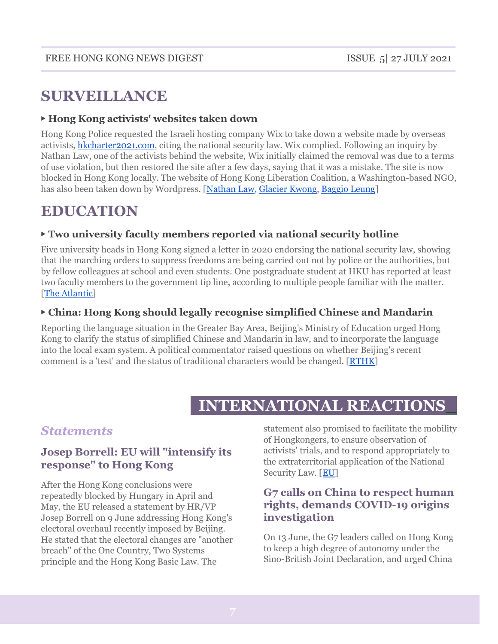# **SURVEILLANCE**

#### ▶ **Hong Kong activists' websites taken down**

Hong Kong Police requested the Israeli hosting company Wix to take down a website made by overseas activists, [hkcharter2021.com](http://hkcharter2021.com), citing the national security law. Wix complied. Following an inquiry by Nathan Law, one of the activists behind the website, Wix initially claimed the removal was due to a terms of use violation, but then restored the site after a few days, saying that it was a mistake. The site is now blocked in Hong Kong locally. The website of Hong Kong Liberation Coalition, a Washington-based NGO, has also been taken down by Wordpress. [[Nathan](https://twitter.com/nathanlawkc/status/1400392731189514243) Law, [Glacier](https://twitter.com/chungchingkwong/status/1405864979018964992) Kwong, [Baggio](https://www.facebook.com/549937504/posts/10159268411477505/) Leung]

## **EDUCATION**

#### ▶ **Two university faculty members reported via national security hotline**

Five university heads in Hong Kong signed a letter in 2020 endorsing the national security law, showing that the marching orders to suppress freedoms are being carried out not by police or the authorities, but by fellow colleagues at school and even students. One postgraduate student at HKU has reported at least two faculty members to the government tip line, according to multiple people familiar with the matter. [The [Atlantic](http://www.theatlantic.com/international/archive/2021/06/china-hong-kong-freedom/619088/)]

#### ▶ **China: Hong Kong should legally recognise simplified Chinese and Mandarin**

Reporting the language situation in the Greater Bay Area, Beijing's Ministry of Education urged Hong Kong to clarify the status of simplified Chinese and Mandarin in law, and to incorporate the language into the local exam system. A political commentator raised questions on whether Beijing's recent comment is a 'test' and the status of traditional characters would be changed. [[RTHK\]](https://news.rthk.hk/rthk/en/component/k2/1594009-20210602.htm)

## **INTERNATIONAL REACTIONS\_**

## *Statements*

#### **Josep Borrell: EU will "intensify its response" to Hong Kong**

After the Hong Kong conclusions were repeatedly blocked by Hungary in April and May, the EU released a statement by HR/VP Josep Borrell on 9 June addressing Hong Kong's electoral overhaul recently imposed by Beijing. He stated that the electoral changes are "another breach" of the One Country, Two Systems principle and the Hong Kong Basic Law. The

statement also promised to facilitate the mobility of Hongkongers, to ensure observation of activists' trials, and to respond appropriately to the extraterritorial application of the National Security Law. [[EU](http://eeas.europa.eu/headquarters/headquarters-homepage/99822/hong-kong-statement-high-representativevice-president-josep-borrell-changes-hong-kong%E2%80%99s_en)]

#### **G7 calls on China to respect human rights, demands COVID-19 origins investigation**

On 13 June, the G7 leaders called on Hong Kong to keep a high degree of autonomy under the Sino-British Joint Declaration, and urged China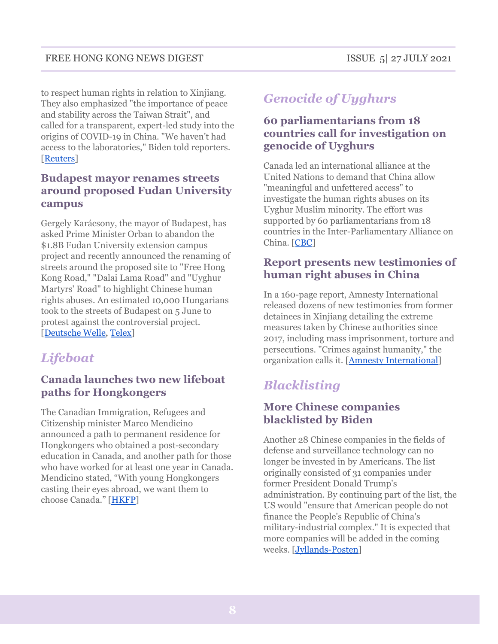to respect human rights in relation to Xinjiang. They also emphasized "the importance of peace and stability across the Taiwan Strait", and called for a transparent, expert-led study into the origins of COVID-19 in China. "We haven't had access to the laboratories," Biden told reporters. [[Reuters](http://www.reuters.com/world/china/china-cautions-g7-small-groups-dont-rule-world-2021-06-13/)]

## **Budapest mayor renames streets around proposed Fudan University campus**

Gergely Karácsony, the mayor of Budapest, has asked Prime Minister Orban to abandon the \$1.8B Fudan University extension campus project and recently announced the renaming of streets around the proposed site to "Free Hong Kong Road," "Dalai Lama Road" and "Uyghur Martyrs' Road" to highlight Chinese human rights abuses. An estimated 10,000 Hungarians took to the streets of Budapest on 5 June to protest against the controversial project. [[Deutsche](http://www.dw.com/en/hungarians-protest-planned-chinese-university-in-budapest/a-57790220) Welle, [Telex\]](http://telex.hu/belfold/2021/06/01/fudan-egyetem-utcanevek-atnevezes-ferencvaros)

## *Lifeboat*

## **Canada launches two new lifeboat paths for Hongkongers**

The Canadian Immigration, Refugees and Citizenship minister Marco Mendicino announced a path to permanent residence for Hongkongers who obtained a post-secondary education in Canada, and another path for those who have worked for at least one year in Canada. Mendicino stated, "With young Hongkongers casting their eyes abroad, we want them to choose Canada." [\[HKFP\]](http://hongkongfp.com/2021/06/09/two-new-paths-to-permanent-residence-launched-for-hongkongers-in-canada-as-minister-cites-deteriorating-human-rights-situation/)

## *Genocide of Uyghurs*

## **60 parliamentarians from 18 countries call for investigation on genocide of Uyghurs**

Canada led an international alliance at the United Nations to demand that China allow "meaningful and unfettered access" to investigate the human rights abuses on its Uyghur Muslim minority. The effort was supported by 60 parliamentarians from 18 countries in the Inter-Parliamentary Alliance on China. [[CBC\]](http://www.cbc.ca/news/politics/china-canada-joint-statement-un-china-1.6071184)

## **Report presents new testimonies of human right abuses in China**

In a 160-page report, Amnesty International released dozens of new testimonies from former detainees in Xinjiang detailing the extreme measures taken by Chinese authorities since 2017, including mass imprisonment, torture and persecutions. "Crimes against humanity," the organization calls it. [Amnesty [International\]](http://www.amnesty.org/en/latest/news/2021/06/china-draconian-repression-of-muslims-in-xinjiang-amounts-to-crimes-against-humanity/)

## *Blacklisting*

## **More Chinese companies blacklisted by Biden**

Another 28 Chinese companies in the fields of defense and surveillance technology can no longer be invested in by Americans. The list originally consisted of 31 companies under former President Donald Trump's administration. By continuing part of the list, the US would "ensure that American people do not finance the People's Republic of China's military-industrial complex." It is expected that more companies will be added in the coming weeks. [\[Jyllands-Posten\]](http://jyllands-posten.dk/international/usa/ECE13030683/biden-har-sat-kinesiske-selskaber-paa-den-sorte-liste)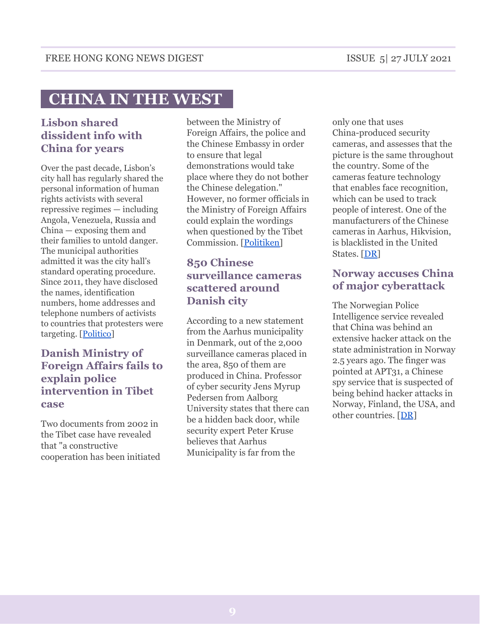# **CHINA IN THE WEST\_**

## **Lisbon shared dissident info with China for years**

Over the past decade, Lisbon's city hall has regularly shared the personal information of human rights activists with several repressive regimes — including Angola, Venezuela, Russia and China — exposing them and their families to untold danger. The municipal authorities admitted it was the city hall's standard operating procedure. Since 2011, they have disclosed the names, identification numbers, home addresses and telephone numbers of activists to countries that protesters were targeting. [[Politico\]](http://www.politico.eu/article/lisbon-portugal-dissidents-personal-data-repressive-regimes/)

#### **Danish Ministry of Foreign Affairs fails to explain police intervention in Tibet case**

Two documents from 2002 in the Tibet case have revealed that "a constructive cooperation has been initiated

between the Ministry of Foreign Affairs, the police and the Chinese Embassy in order to ensure that legal demonstrations would take place where they do not bother the Chinese delegation." However, no former officials in the Ministry of Foreign Affairs could explain the wordings when questioned by the Tibet Commission. [\[Politiken\]](http://politiken.dk/indland/art8241627/Klappen-g%C3%A5r-ned-i-Tibetsagen-Embedsm%C3%A6nd-kan-ikke-forklare-bevis1)

## **850 Chinese surveillance cameras scattered around Danish city**

According to a new statement from the Aarhus municipality in Denmark, out of the 2,000 surveillance cameras placed in the area, 850 of them are produced in China. Professor of cyber security Jens Myrup Pedersen from Aalborg University states that there can be a hidden back door, while security expert Peter Kruse believes that Aarhus Municipality is far from the

only one that uses China-produced security cameras, and assesses that the picture is the same throughout the country. Some of the cameras feature technology that enables face recognition, which can be used to track people of interest. One of the manufacturers of the Chinese cameras in Aarhus, Hikvision, is blacklisted in the United States. [[DR\]](http://www.dr.dk/nyheder/regionale/oestjylland/eksperter-kan-ikke-udelukke-kina-kan-overvaage-danskere-gennem)

#### **Norway accuses China of major cyberattack**

The Norwegian Police Intelligence service revealed that China was behind an extensive hacker attack on the state administration in Norway 2.5 years ago. The finger was pointed at APT31, a Chinese spy service that is suspected of being behind hacker attacks in Norway, Finland, the USA, and other countries. [[DR](http://www.dr.dk/nyheder/seneste/norge-anklager-kina-staa-bag-stort-hackerangreb)]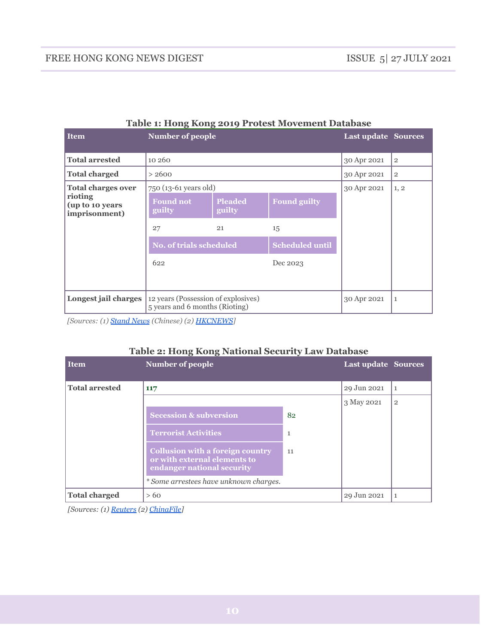| <b>Item</b>                                 | Number of people                                                      |                          |                        | <b>Last update Sources</b> |                |
|---------------------------------------------|-----------------------------------------------------------------------|--------------------------|------------------------|----------------------------|----------------|
| <b>Total arrested</b>                       | 10 260                                                                |                          |                        | 30 Apr 2021                | $\overline{2}$ |
| <b>Total charged</b>                        | > 2600                                                                |                          |                        | 30 Apr 2021                | $\overline{2}$ |
| <b>Total charges over</b>                   | 750 (13-61 years old)                                                 |                          |                        | 30 Apr 2021                | 1, 2           |
| rioting<br>(up to 10 years<br>imprisonment) | <b>Found not</b><br>guilty                                            | <b>Pleaded</b><br>guilty | <b>Found guilty</b>    |                            |                |
|                                             | 27                                                                    | 21                       | 15                     |                            |                |
|                                             | <b>No. of trials scheduled</b>                                        |                          | <b>Scheduled until</b> |                            |                |
|                                             | 622                                                                   |                          | Dec 2023               |                            |                |
|                                             |                                                                       |                          |                        |                            |                |
| Longest jail charges                        | 12 years (Possession of explosives)<br>5 years and 6 months (Rioting) |                          |                        | 30 Apr 2021                | 1              |

#### **Table 1: Hong Kong 2019 Protest Movement Database**

*[Sources: (1) [Stand News](https://www.thestandnews.com/politics/%E5%8F%8D%E9%80%81%E4%B8%AD%E6%A1%88%E4%BB%B6%E7%B5%B1%E8%A8%88-%E6%9A%B4%E5%8B%95%E7%BD%AA/) (Chinese) (2) [HKCNEWS](https://www.hkprotestdb.com/)]*

#### **Table 2: Hong Kong National Security Law Database**

| <b>Item</b>           | Number of people                                                                                      |             | <b>Last update Sources</b> |  |
|-----------------------|-------------------------------------------------------------------------------------------------------|-------------|----------------------------|--|
| <b>Total arrested</b> | 117                                                                                                   | 29 Jun 2021 |                            |  |
|                       |                                                                                                       | 3 May 2021  | $\overline{2}$             |  |
|                       | <b>Secession &amp; subversion</b>                                                                     | 82          |                            |  |
|                       | <b>Terrorist Activities</b>                                                                           | 1           |                            |  |
|                       | <b>Collusion with a foreign country</b><br>or with external elements to<br>endanger national security | 11          |                            |  |
|                       | * Some arrestees have unknown charges.                                                                |             |                            |  |
| <b>Total charged</b>  | >60                                                                                                   |             | 29 Jun 2021                |  |

*[Sources: (1) [Reuters](https://www.reuters.com/world/asia-pacific/one-year-hong-kong-arrests-117-people-under-new-security-law-2021-06-30/) (2) [ChinaFile\]](https://www.chinafile.com/reporting-opinion/features/new-data-show-hong-kongs-national-security-arrests-follow-pattern)*